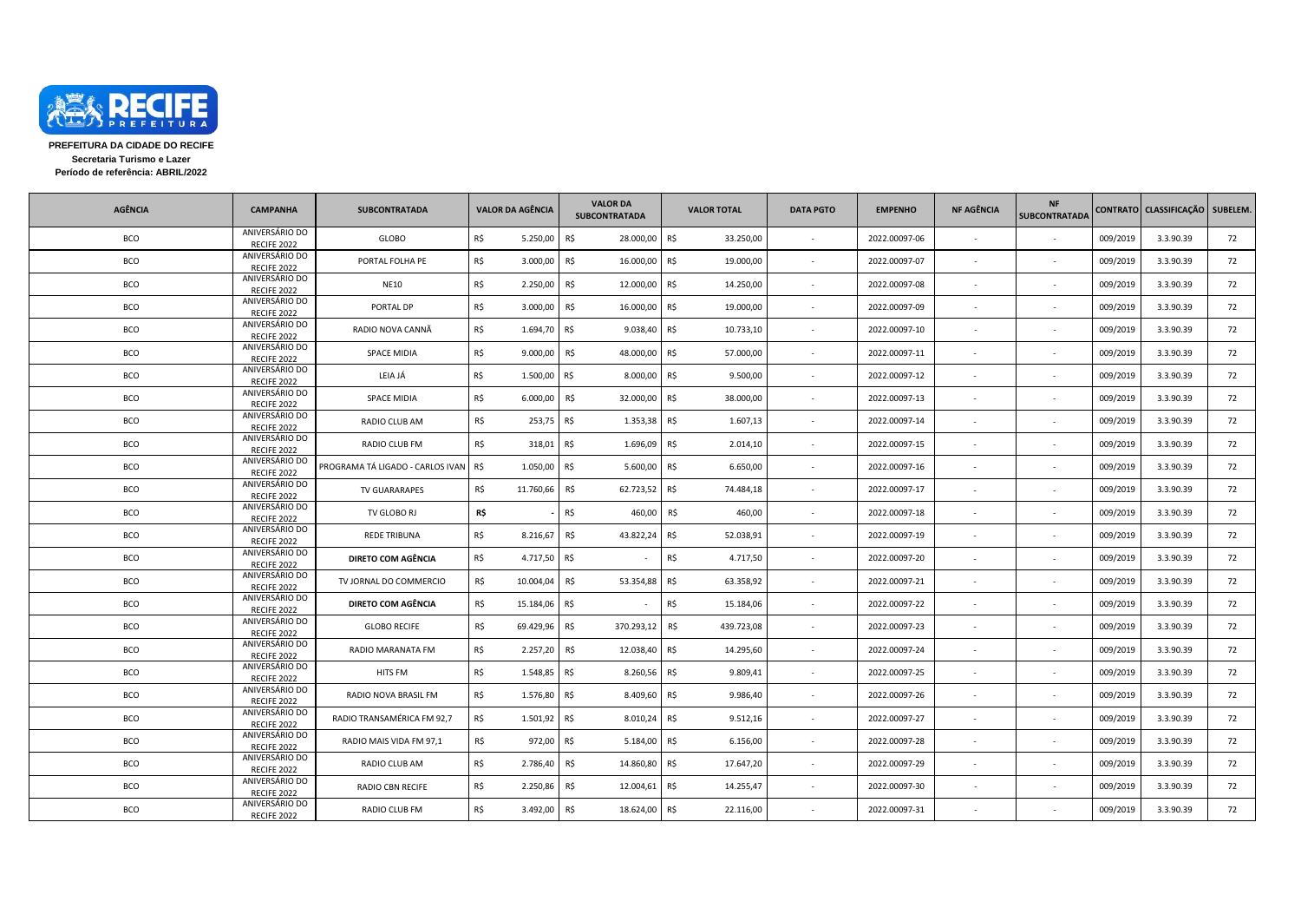

**PREFEITURA DA CIDADE DO RECIFE Secretaria Turismo e Lazer Período de referência: ABRIL/2022**

| <b>AGÊNCIA</b> | <b>CAMPANHA</b>               | <b>SUBCONTRATADA</b>             | <b>VALOR DA AGÊNCIA</b> |           | <b>VALOR DA</b><br><b>SUBCONTRATADA</b> | <b>VALOR TOTAL</b> | <b>DATA PGTO</b>         | <b>EMPENHO</b> | <b>NF AGÊNCIA</b> | <b>NF</b><br><b>SUBCONTRATADA</b> |          | CONTRATO CLASSIFICAÇÃO | SUBELEM. |
|----------------|-------------------------------|----------------------------------|-------------------------|-----------|-----------------------------------------|--------------------|--------------------------|----------------|-------------------|-----------------------------------|----------|------------------------|----------|
| <b>BCO</b>     | ANIVERSÁRIO DO<br>RECIFE 2022 | GLOBO                            | R\$                     | 5.250,00  | R\$<br>28.000,00                        | R\$<br>33.250,00   | $\sim$                   | 2022.00097-06  |                   |                                   | 009/2019 | 3.3.90.39              | 72       |
| BCO            | ANIVERSÁRIO DO<br>RECIFE 2022 | PORTAL FOLHA PE                  | R\$                     | 3.000,00  | R\$<br>16.000,00 R\$                    | 19.000,00          |                          | 2022.00097-07  |                   |                                   | 009/2019 | 3.3.90.39              | 72       |
| BCO            | ANIVERSÁRIO DO<br>RECIFE 2022 | <b>NE10</b>                      | R\$                     | 2.250,00  | R\$<br>12.000,00                        | R\$<br>14.250,00   | $\sim$                   | 2022.00097-08  |                   |                                   | 009/2019 | 3.3.90.39              | 72       |
| BCO            | ANIVERSÁRIO DO<br>RECIFE 2022 | PORTAL DP                        | R\$                     | 3.000,00  | R\$<br>16.000,00 R\$                    | 19.000,00          |                          | 2022.00097-09  |                   |                                   | 009/2019 | 3.3.90.39              | 72       |
| BCO            | ANIVERSÁRIO DO<br>RECIFE 2022 | RADIO NOVA CANNÃ                 | R\$                     | 1.694,70  | R\$<br>9.038,40                         | R\$<br>10.733,10   | $\sim$                   | 2022.00097-10  |                   |                                   | 009/2019 | 3.3.90.39              | 72       |
| BCO            | ANIVERSÁRIO DO<br>RECIFE 2022 | <b>SPACE MIDIA</b>               | R\$                     | 9.000,00  | R\$<br>48.000,00                        | R\$<br>57.000,00   |                          | 2022.00097-11  |                   |                                   | 009/2019 | 3.3.90.39              | 72       |
| BCO            | ANIVERSÁRIO DO<br>RECIFE 2022 | LEIA JÁ                          | R\$                     | 1.500,00  | R\$<br>8.000,00                         | R\$<br>9.500,00    |                          | 2022.00097-12  |                   |                                   | 009/2019 | 3.3.90.39              | 72       |
| BCO            | ANIVERSÁRIO DO<br>RECIFE 2022 | <b>SPACE MIDIA</b>               | R\$                     | 6.000,00  | R\$<br>32.000,00                        | R\$<br>38.000,00   |                          | 2022.00097-13  |                   |                                   | 009/2019 | 3.3.90.39              | 72       |
| BCO            | ANIVERSÁRIO DO<br>RECIFE 2022 | RADIO CLUB AM                    | R\$                     | 253,75    | $1.353,38$ R\$<br>R\$                   | 1.607,13           |                          | 2022.00097-14  |                   |                                   | 009/2019 | 3.3.90.39              | 72       |
| BCO            | ANIVERSÁRIO DO<br>RECIFE 2022 | RADIO CLUB FM                    | R\$                     | 318,01    | R\$<br>1.696,09                         | R\$<br>2.014,10    | $\sim$                   | 2022.00097-15  |                   |                                   | 009/2019 | 3.3.90.39              | 72       |
| BCO            | ANIVERSÁRIO DO<br>RECIFE 2022 | PROGRAMA TÁ LIGADO - CARLOS IVAN | R\$                     | 1.050,00  | R\$<br>5.600,00                         | R\$<br>6.650,00    |                          | 2022.00097-16  |                   |                                   | 009/2019 | 3.3.90.39              | 72       |
| BCO            | ANIVERSÁRIO DO<br>RECIFE 2022 | <b>TV GUARARAPES</b>             | R\$                     | 11.760,66 | R\$<br>62.723,52                        | R\$<br>74.484,18   |                          | 2022.00097-17  |                   |                                   | 009/2019 | 3.3.90.39              | 72       |
| BCO            | ANIVERSÁRIO DO<br>RECIFE 2022 | TV GLOBO RJ                      | R\$                     |           | R\$<br>460,00                           | R\$<br>460,00      |                          | 2022.00097-18  |                   |                                   | 009/2019 | 3.3.90.39              | 72       |
| BCO            | ANIVERSÁRIO DO<br>RECIFE 2022 | <b>REDE TRIBUNA</b>              | R\$                     | 8.216,67  | R\$<br>43.822,24                        | R\$<br>52.038,91   |                          | 2022.00097-19  |                   |                                   | 009/2019 | 3.3.90.39              | 72       |
| BCO            | ANIVERSÁRIO DO<br>RECIFE 2022 | DIRETO COM AGÊNCIA               | R\$                     | 4.717,50  | R\$                                     | R\$<br>4.717,50    | $\sim$                   | 2022.00097-20  |                   |                                   | 009/2019 | 3.3.90.39              | 72       |
| BCO            | ANIVERSÁRIO DO<br>RECIFE 2022 | TV JORNAL DO COMMERCIO           | R\$                     | 10.004,04 | R\$<br>53.354,88                        | R\$<br>63.358,92   |                          | 2022.00097-21  |                   |                                   | 009/2019 | 3.3.90.39              | 72       |
| BCO            | ANIVERSÁRIO DO<br>RECIFE 2022 | DIRETO COM AGÊNCIA               | R\$                     | 15.184,06 | R\$                                     | R\$<br>15.184,06   |                          | 2022.00097-22  |                   |                                   | 009/2019 | 3.3.90.39              | 72       |
| BCO            | ANIVERSÁRIO DO<br>RECIFE 2022 | <b>GLOBO RECIFE</b>              | R\$                     | 69.429,96 | R\$<br>370.293,12 R\$                   | 439.723,08         |                          | 2022.00097-23  |                   |                                   | 009/2019 | 3.3.90.39              | 72       |
| BCO            | ANIVERSÁRIO DO<br>RECIFE 2022 | RADIO MARANATA FM                | R\$                     | 2.257,20  | R\$<br>12.038,40                        | R\$<br>14.295,60   | $\sim$                   | 2022.00097-24  |                   |                                   | 009/2019 | 3.3.90.39              | 72       |
| BCO            | ANIVERSÁRIO DO<br>RECIFE 2022 | HITS FM                          | R\$                     | 1.548,85  | R\$<br>8.260,56 R\$                     | 9.809,41           |                          | 2022.00097-25  |                   |                                   | 009/2019 | 3.3.90.39              | 72       |
| BCO            | ANIVERSÁRIO DO<br>RECIFE 2022 | RADIO NOVA BRASIL FM             | R\$                     | 1.576,80  | R\$<br>8.409,60 R\$                     | 9.986,40           |                          | 2022.00097-26  |                   |                                   | 009/2019 | 3.3.90.39              | 72       |
| BCO            | ANIVERSÁRIO DO<br>RECIFE 2022 | RADIO TRANSAMÉRICA FM 92,7       | R\$                     | 1.501,92  | R\$<br>8.010,24 R\$                     | 9.512,16           | $\overline{\phantom{a}}$ | 2022.00097-27  |                   |                                   | 009/2019 | 3.3.90.39              | 72       |
| BCO            | ANIVERSÁRIO DO<br>RECIFE 2022 | RADIO MAIS VIDA FM 97,1          | R\$                     | 972,00    | R\$<br>5.184,00                         | R\$<br>6.156,00    |                          | 2022.00097-28  |                   |                                   | 009/2019 | 3.3.90.39              | 72       |
| BCO            | ANIVERSÁRIO DO<br>RECIFE 2022 | RADIO CLUB AM                    | R\$                     | 2.786,40  | R\$<br>14.860,80                        | R\$<br>17.647,20   |                          | 2022.00097-29  |                   |                                   | 009/2019 | 3.3.90.39              | 72       |
| BCO            | ANIVERSÁRIO DO<br>RECIFE 2022 | RADIO CBN RECIFE                 | R\$                     | 2.250,86  | R\$<br>12.004,61                        | R\$<br>14.255,47   |                          | 2022.00097-30  |                   |                                   | 009/2019 | 3.3.90.39              | 72       |
| BCO            | ANIVERSÁRIO DO<br>RECIFE 2022 | RADIO CLUB FM                    | R\$                     | 3.492,00  | R\$<br>18.624,00                        | R\$<br>22.116,00   |                          | 2022.00097-31  |                   |                                   | 009/2019 | 3.3.90.39              | 72       |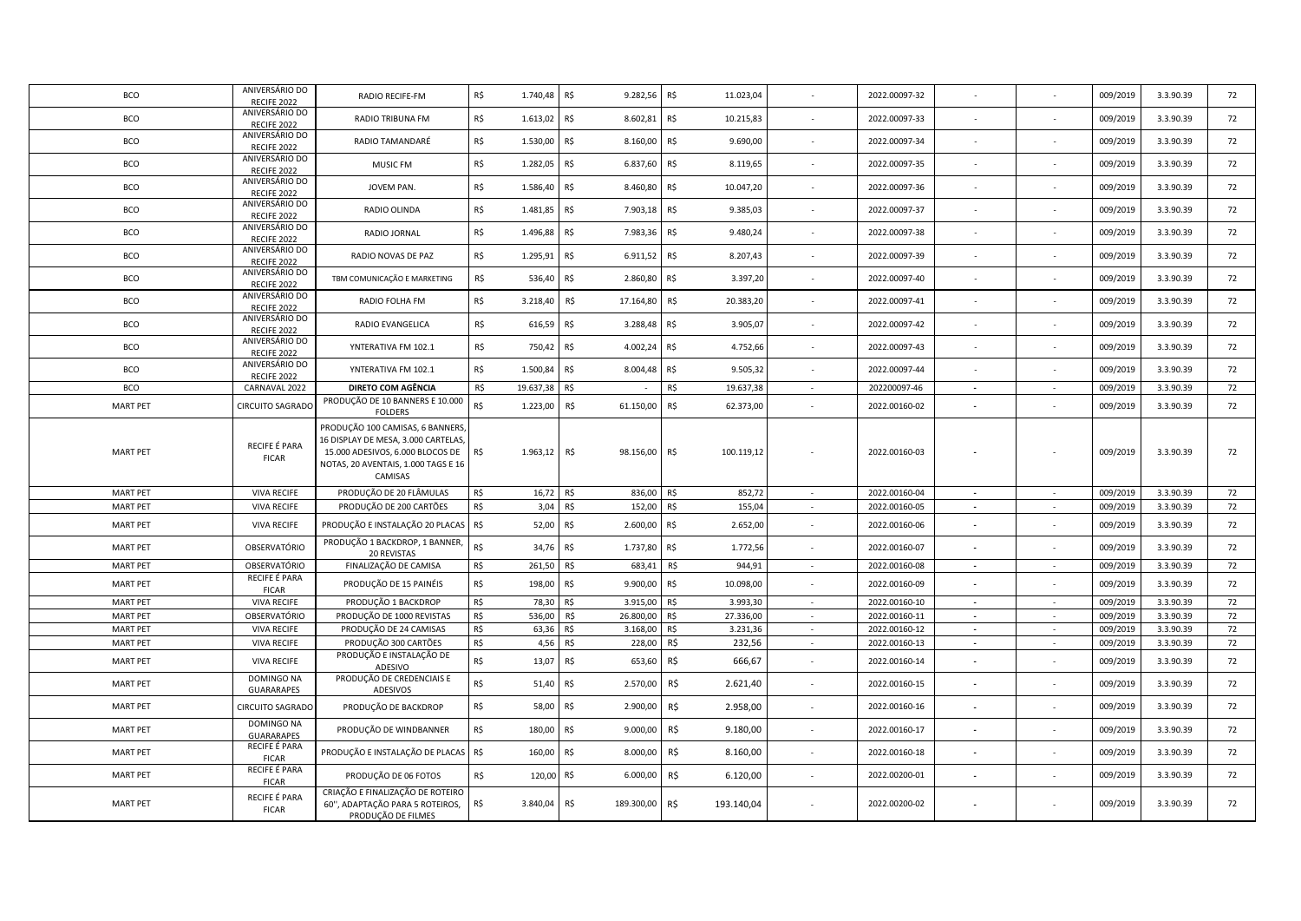| <b>BCO</b>      | ANIVERSÁRIO DO<br>RECIFE 2022        | RADIO RECIFE-FM                                      | R\$<br>1.740,48     | R\$<br>9.282,56   | R\$<br>11.023,04  |                          | 2022.00097-32 |                          |                          | 009/2019 | 3.3.90.39 | 72 |
|-----------------|--------------------------------------|------------------------------------------------------|---------------------|-------------------|-------------------|--------------------------|---------------|--------------------------|--------------------------|----------|-----------|----|
| <b>BCO</b>      | ANIVERSÁRIO DO                       | RADIO TRIBUNA FM                                     | R\$<br>1.613,02     | R\$<br>8.602,81   | R\$<br>10.215,83  |                          | 2022.00097-33 |                          |                          | 009/2019 | 3.3.90.39 | 72 |
| <b>BCO</b>      | RECIFE 2022<br>ANIVERSÁRIO DO        | RADIO TAMANDARÉ                                      | R\$<br>1.530,00     | R\$<br>8.160,00   | R\$<br>9.690,00   |                          | 2022.00097-34 |                          |                          | 009/2019 | 3.3.90.39 | 72 |
|                 | RECIFE 2022<br>ANIVERSÁRIO DO        |                                                      |                     |                   |                   |                          |               |                          |                          |          |           |    |
| BCO             | RECIFE 2022                          | MUSIC FM                                             | R\$<br>1.282,05     | R\$<br>6.837,60   | R\$<br>8.119,65   |                          | 2022.00097-35 |                          |                          | 009/2019 | 3.3.90.39 | 72 |
| BCO             | ANIVERSÁRIO DO<br>RECIFE 2022        | JOVEM PAN.                                           | R\$<br>1.586,40     | R\$<br>8.460,80   | R\$<br>10.047,20  |                          | 2022.00097-36 |                          |                          | 009/2019 | 3.3.90.39 | 72 |
| <b>BCO</b>      | ANIVERSÁRIO DO<br>RECIFE 2022        | RADIO OLINDA                                         | R\$<br>1.481,85     | R\$<br>7.903,18   | R\$<br>9.385,03   |                          | 2022.00097-37 |                          |                          | 009/2019 | 3.3.90.39 | 72 |
| <b>BCO</b>      | ANIVERSÁRIO DO<br>RECIFE 2022        | RADIO JORNAL                                         | R\$<br>1.496,88 R\$ | 7.983,36          | R\$<br>9.480,24   |                          | 2022.00097-38 |                          |                          | 009/2019 | 3.3.90.39 | 72 |
| BCO             | ANIVERSÁRIO DO                       | RADIO NOVAS DE PAZ                                   | R\$<br>1.295,91     | R\$<br>6.911,52   | R\$<br>8.207,43   |                          | 2022.00097-39 |                          |                          | 009/2019 | 3.3.90.39 | 72 |
| <b>BCO</b>      | RECIFE 2022<br>ANIVERSÁRIO DO        | TBM COMUNICAÇÃO E MARKETING                          | R\$<br>536,40       | R\$<br>2.860,80   | R\$<br>3.397,20   |                          | 2022.00097-40 |                          |                          | 009/2019 | 3.3.90.39 | 72 |
|                 | RECIFE 2022<br>ANIVERSÁRIO DO        |                                                      |                     |                   |                   |                          |               |                          |                          |          |           |    |
| <b>BCO</b>      | RECIFE 2022                          | RADIO FOLHA FM                                       | R\$<br>3.218,40     | R\$<br>17.164,80  | R\$<br>20.383,20  |                          | 2022.00097-41 |                          |                          | 009/2019 | 3.3.90.39 | 72 |
| <b>BCO</b>      | ANIVERSÁRIO DO<br>RECIFE 2022        | RADIO EVANGELICA                                     | R\$<br>616,59       | R\$<br>3.288,48   | R\$<br>3.905,07   |                          | 2022.00097-42 |                          |                          | 009/2019 | 3.3.90.39 | 72 |
| <b>BCO</b>      | ANIVERSÁRIO DO<br>RECIFE 2022        | YNTERATIVA FM 102.1                                  | R\$<br>750,42       | R\$<br>4.002,24   | R\$<br>4.752,66   |                          | 2022.00097-43 |                          |                          | 009/2019 | 3.3.90.39 | 72 |
| <b>BCO</b>      | ANIVERSÁRIO DO<br><b>RECIFE 2022</b> | YNTERATIVA FM 102.1                                  | R\$<br>1.500,84     | R\$<br>8.004,48   | R\$<br>9.505,32   |                          | 2022.00097-44 |                          |                          | 009/2019 | 3.3.90.39 | 72 |
| <b>BCO</b>      | CARNAVAL 2022                        | DIRETO COM AGÊNCIA                                   | R\$<br>19.637,38    | R\$               | R\$<br>19.637,38  | $\sim$                   | 202200097-46  | $\blacksquare$           | $\sim$                   | 009/2019 | 3.3.90.39 | 72 |
| <b>MART PET</b> | <b>CIRCUITO SAGRADO</b>              | PRODUÇÃO DE 10 BANNERS E 10.000<br><b>FOLDERS</b>    | R\$<br>1.223,00     | R\$<br>61.150,00  | R\$<br>62.373,00  |                          | 2022.00160-02 |                          |                          | 009/2019 | 3.3.90.39 | 72 |
|                 |                                      | PRODUÇÃO 100 CAMISAS, 6 BANNERS,                     |                     |                   |                   |                          |               |                          |                          |          |           |    |
|                 | RECIFE É PARA                        | 16 DISPLAY DE MESA, 3.000 CARTELAS                   |                     |                   |                   |                          |               |                          |                          |          |           |    |
| <b>MART PET</b> | <b>FICAR</b>                         | 15.000 ADESIVOS, 6.000 BLOCOS DE                     | R\$<br>1.963,12     | R\$<br>98.156,00  | 100.119,12<br>R\$ |                          | 2022.00160-03 |                          |                          | 009/2019 | 3.3.90.39 | 72 |
|                 |                                      | NOTAS, 20 AVENTAIS, 1.000 TAGS E 16<br>CAMISAS       |                     |                   |                   |                          |               |                          |                          |          |           |    |
|                 |                                      |                                                      |                     |                   |                   |                          |               |                          |                          |          |           |    |
| <b>MART PET</b> | <b>VIVA RECIFE</b>                   | PRODUÇÃO DE 20 FLÂMULAS                              | R\$<br>16,72        | R\$<br>836,00     | R\$<br>852,72     | $\sim$                   | 2022.00160-04 | $\sim$                   | $\sim$                   | 009/2019 | 3.3.90.39 | 72 |
| <b>MART PET</b> | <b>VIVA RECIFE</b>                   | PRODUÇÃO DE 200 CARTÕES                              | R\$<br>3,04         | R\$<br>152,00     | R\$<br>155,04     | $\sim$                   | 2022.00160-05 | $\overline{\phantom{a}}$ | $\sim$                   | 009/2019 | 3.3.90.39 | 72 |
| <b>MART PET</b> | <b>VIVA RECIFE</b>                   | PRODUÇÃO E INSTALAÇÃO 20 PLACAS R\$                  | 52,00               | R\$<br>2.600,00   | R\$<br>2.652,00   |                          | 2022.00160-06 |                          |                          | 009/2019 | 3.3.90.39 | 72 |
| <b>MART PET</b> | OBSERVATÓRIO                         | PRODUÇÃO 1 BACKDROP, 1 BANNER,<br><b>20 REVISTAS</b> | R\$<br>34,76        | R\$<br>1.737,80   | R\$<br>1.772,56   |                          | 2022.00160-07 |                          |                          | 009/2019 | 3.3.90.39 | 72 |
| <b>MART PET</b> | OBSERVATÓRIO                         | FINALIZAÇÃO DE CAMISA                                | R\$<br>261,50       | R\$<br>683,41     | 944,91<br>R\$     |                          | 2022.00160-08 |                          |                          | 009/2019 | 3.3.90.39 | 72 |
| <b>MART PET</b> | RECIFE É PARA<br><b>FICAR</b>        | PRODUÇÃO DE 15 PAINÉIS                               | R\$<br>198,00       | R\$<br>9.900,00   | R\$<br>10.098,00  |                          | 2022.00160-09 |                          |                          | 009/2019 | 3.3.90.39 | 72 |
| <b>MART PET</b> | <b>VIVA RECIFE</b>                   | PRODUÇÃO 1 BACKDROP                                  | R\$<br>78,30        | R\$<br>3.915,00   | R\$<br>3.993,30   | $\sim$                   | 2022.00160-10 | $\overline{\phantom{a}}$ | $\sim$                   | 009/2019 | 3.3.90.39 | 72 |
| <b>MART PET</b> | OBSERVATÓRIO                         | PRODUÇÃO DE 1000 REVISTAS                            | R\$<br>536,00       | R\$<br>26.800.00  | R\$<br>27.336,00  | $\overline{\phantom{a}}$ | 2022.00160-11 | $\overline{\phantom{a}}$ | $\overline{\phantom{a}}$ | 009/2019 | 3.3.90.39 | 72 |
| <b>MART PET</b> | <b>VIVA RECIFE</b>                   | PRODUÇÃO DE 24 CAMISAS                               | R\$<br>63,36        | 3.168,00<br>R\$   | R\$<br>3.231,36   | $\sim$                   | 2022.00160-12 | $\sim$                   | $\sim$                   | 009/2019 | 3.3.90.39 | 72 |
| <b>MART PET</b> | <b>VIVA RECIFE</b>                   | PRODUÇÃO 300 CARTÕES                                 | R\$<br>4,56         | R\$<br>228,00     | R\$<br>232,56     | $\sim$                   | 2022.00160-13 | $\blacksquare$           | $\sim$                   | 009/2019 | 3.3.90.39 | 72 |
| <b>MART PET</b> | <b>VIVA RECIFE</b>                   | PRODUÇÃO E INSTALAÇÃO DE                             | R\$<br>13,07        | R\$<br>653,60     | R\$<br>666,67     |                          | 2022.00160-14 |                          |                          | 009/2019 | 3.3.90.39 | 72 |
|                 | DOMINGO NA                           | ADESIVO<br>PRODUÇÃO DE CREDENCIAIS E                 |                     |                   |                   |                          |               |                          |                          |          |           |    |
| <b>MART PET</b> | <b>GUARARAPES</b>                    | ADESIVOS                                             | R\$<br>51,40        | R\$<br>2.570,00   | R\$<br>2.621,40   |                          | 2022.00160-15 |                          |                          | 009/2019 | 3.3.90.39 | 72 |
| <b>MART PET</b> | CIRCUITO SAGRADO                     | PRODUÇÃO DE BACKDROP                                 | R\$<br>58,00        | R\$<br>2.900,00   | R\$<br>2.958,00   |                          | 2022.00160-16 |                          |                          | 009/2019 | 3.3.90.39 | 72 |
| <b>MART PET</b> | DOMINGO NA<br><b>GUARARAPES</b>      | PRODUÇÃO DE WINDBANNER                               | R\$<br>180,00       | R\$<br>9.000,00   | R\$<br>9.180,00   | $\overline{\phantom{a}}$ | 2022.00160-17 |                          |                          | 009/2019 | 3.3.90.39 | 72 |
| <b>MART PET</b> | RECIFE É PARA<br><b>FICAR</b>        | PRODUÇÃO E INSTALAÇÃO DE PLACAS R\$                  | 160,00              | R\$<br>8.000,00   | R\$<br>8.160,00   |                          | 2022.00160-18 |                          |                          | 009/2019 | 3.3.90.39 | 72 |
| <b>MART PET</b> | RECIFE É PARA<br><b>FICAR</b>        | PRODUÇÃO DE 06 FOTOS                                 | R\$<br>120,00       | R\$<br>6.000,00   | R\$<br>6.120,00   |                          | 2022.00200-01 |                          |                          | 009/2019 | 3.3.90.39 | 72 |
|                 | RECIFE É PARA                        | CRIAÇÃO E FINALIZAÇÃO DE ROTEIRO                     |                     |                   |                   |                          |               |                          |                          |          |           |    |
| <b>MART PET</b> | <b>FICAR</b>                         | 60", ADAPTAÇÃO PARA 5 ROTEIROS,                      | R\$<br>3.840,04     | R\$<br>189.300,00 | R\$<br>193.140,04 |                          | 2022.00200-02 |                          |                          | 009/2019 | 3.3.90.39 | 72 |
|                 |                                      | PRODUÇÃO DE FILMES                                   |                     |                   |                   |                          |               |                          |                          |          |           |    |